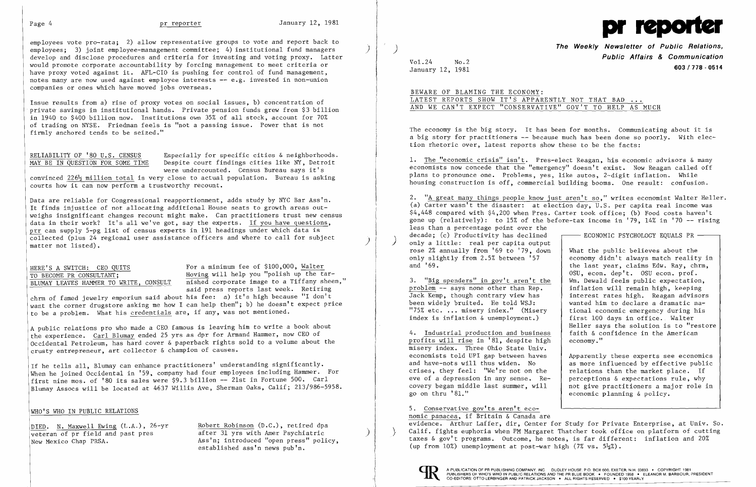

employees vote pro-rata; 2) allow representative groups to vote and report back to employees; 3) joint employee-management committee; 4) institutional fund managers develop and disclose procedures and criteria for investing and voting proxy. Latter would promote corporate accountability by forcing management to meet criteria or have proxy voted against it. AFL-CIO is pushing for control of fund management, notes many are now used against employee interests  $-$  e.g. invested in non-union companies or ones which have moved jobs overseas.

RELIABILITY OF '80 U.S. CENSUS<br>
MAY BE IN OUESTION FOR SOME TIME Despite court findings cities like NY, Detroit Despite court findings cities like NY, Detroit were undercounted. Census Bureau says it's

convinced  $226\frac{1}{2}$  million total is very close to actual population. Bureau is asking courts how it can now perform a trustworthy recount.

Data are reliable for Congressional reapportionment, adds study by NYC Bar Ass'n. It finds injustice of not allocating additional House seats to growth areas out weighs insignificant changes recount might make. Can practitioners trust new census data in their work? It's all we've got, say the experts. If you have questions, prr can supply 5-pg list of census experts in 191 headings under which data is Í collected (plus 24 regional user assistance officers and where to call for subject<br>matter not listed).

Issue results from a) rise of proxy votes on social issues, b) concentration of private savings in institutional hands. Private pension funds grew from \$3 billion in 1940 to \$400 billion now. Institutions own 35% of all stock, account for 70% of trading on NYSE. Friedman feels is "not a passing issue. Power that is not firmly anchored tends to be seized."

HERE'S A SWITCH: CEO QUITS<br>
TO BECOME PR CONSULTANT: Hoving will help you "polish up the ta TO BECOME PR CONSULTANT; Hoving will help you "polish up the tar-BLUMAY LEAVES HAMMER TO WRITE, CONSULT nished corporate image to a Tiffany sheen," said press reports last week. Retiring

DIED. N. Maxwell Ewing (L.A.), 26-yr Robert Robinson (D.C.), retired dpa Ass'n; introduced "open press" policy, established ass'n news pub'n.

**The Weekly Newsletter of Public Relations, Public Affairs & Communication 603/718 - <sup>0514</sup>** January 12, 1981

the last year, claims Edw. Ray, chrm. OSU, econ. dep't. OSU econ. prof.<br>Wm. Dewald feels public expectation, 3. "Big spenders" in gov't aren't the Wm. Dewald feels public expectation, problem -- says none other than Rep. inflation will remain high. keeping wanted him to declare a dramatic na-Heller says the solution is to "restore faith  $\&$  confidence in the American

chrm of famed jewelry emporium said about his fee: a) it's high because "I don't want the corner drugstore asking me how I can help them"; b) he doesn't expect price to be a problem. What his credentials are, if any, was not mentioned.

A public relations pro who made a CEO famous is leaving him to write a book about the experience. Carl Blumay ended 25 yrs as dpr for Armand Hammer, now CEO of Occidental Petroleum, has hard cover & paperback rights sold to a volume about the crusty entrepreneur, art collector & champion of causes.

 Apparently these experts see economics as more influenced by effective public<br>relations than the market place. If covery began middle last summer, will  $\begin{array}{|l|l|}$  not give practitioners a major role in go on thru '81." economic planning & policy.

If he tells all, Blumay can enhance practitioners' understanding significantly. When he joined Occidental in '59. company had four employees including Hammer. For first nine mos. of '80 its sales were \$9.3 billion -- 21st in Fortune 500. Carl Blumay Assocs will be located at 4637 Willis Ave, Sherman Oaks, Calif; 213/986-5958.

# WHO'S WHO IN PUBLIC RELATIONS

veteran of pr field and past pres after 31 yrs with Amer Psychiatric<br>New Mexico Chap PRSA. (Ass'n; introduced "open press" poli

2. "A great many things people know just aren't so," writes economist Walter Heller. (a) Carter wasn't the disaster: at election day, U.S. per capita real income was \$4,448 compared with \$4,200 when Pres. Carter took office; (b) Food costs haven't gone up (relatively): to 15% of the before-tax income in '79, 14% in '70 -- rising less than a percentage point over the<br>decade: (c) Productivity has declined decade; (c) Productivity has declined  $\overline{\phantom{0}}$  ECONOMIC PSYCHOLOGY EQUALS PR --<br>only a little: real per capita output<br>rose 2% annually from '69 to '79, down What the public believes about the rose 2% annually from '69 to '79, down<br>only slightly from 2.5% between '57 only slightly from 2.5% between '57 economy didn't always match reality in<br>and '69. I

problem -- says none other than Rep.<br>Jack Kemp, though contrary view has interest rates high. Reagan advisors Jack Kemp, though contrary view has<br>been widely bruited. He told WSJ: "75% etc. ... misery index." (Misery  $\begin{array}{|l|} \hline \end{array}$  tional economic emergency during his index is inflation & unemployment.)  $\begin{array}{|l|} \hline \end{array}$  first 100 days in office. Walter index is inflation  $\&$  unemployment.)

4. Industrial production and business faith & confits will rise in '81, despite high economy." profits will rise in  $'81$ , despite high misery index. Three Ohio State Univ. economists told UPI gap between haves<br>and have-nots will thus widen. No crises, they feel: "We're not on the eve of a depression in any sense. Re- perceptions  $\&$  expectations rule, why covery began middle last summer, will not give practitioners a major role i

5. Conservative gov'ts aren't economic panacea, if Britain & Canada are evidence. Arthur Laffer, dir, Center for Study for Private Enterprise, at Univ. So. Calif. fights euphoria when PM Margaret Thatcher took office on platform of cutting taxes & gov't programs. Outcome, he notes, is far different: inflation and 20% (up from 10%) unemployment at post-war high  $(7\% \text{ vs. } 5\frac{1}{2}\%)$ .



Vol.24 No.2

BEWARE OF BLAMING THE ECONOMY: LATEST REPORTS SHOW IT'S APPARENTLY NOT THAT BAD AND WE CAN'T EXPECT "CONSERVATIVE" GOV'T TO HELP AS MUCH

The economy is the big story. It has been for months. Communicating about it is a big story for practitioners -- because much has been done so poorly. With election rhetoric over, latest reports show these to be the facts:

1. The "economic crisis" isn't. Pres-elect Reagan, his economic advisors & many economists now concede that the "emergency" doesn't exist. Now Reagan called off plans to pronounce one. Problems, yes, like autos, 2-digit inflation. While housing construction is off, commercial building booms. One result: confusion.